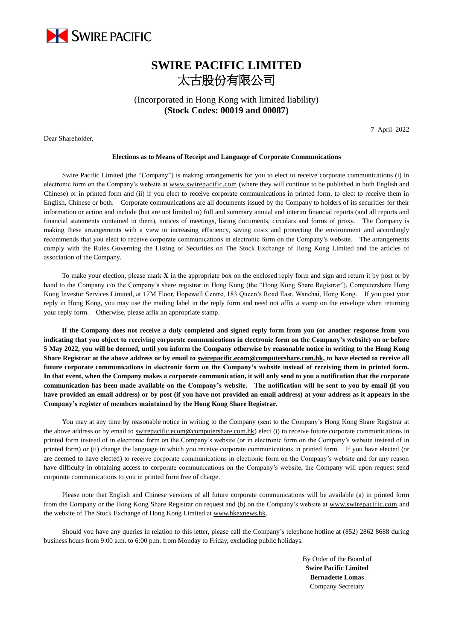

## **SWIRE PACIFIC LIMITED** 太古股份有限公司

(Incorporated in Hong Kong with limited liability) **(Stock Codes: 00019 and 00087)**

Dear Shareholder,

7 April 2022

## **Elections as to Means of Receipt and Language of Corporate Communications**

Swire Pacific Limited (the "Company") is making arrangements for you to elect to receive corporate communications (i) in electronic form on the Company's website a[t www.swirepacific.com](http://www.swirepacific.com/) (where they will continue to be published in both English and Chinese) or in printed form and (ii) if you elect to receive corporate communications in printed form, to elect to receive them in English, Chinese or both. Corporate communications are all documents issued by the Company to holders of its securities for their information or action and include (but are not limited to) full and summary annual and interim financial reports (and all reports and financial statements contained in them), notices of meetings, listing documents, circulars and forms of proxy. The Company is making these arrangements with a view to increasing efficiency, saving costs and protecting the environment and accordingly recommends that you elect to receive corporate communications in electronic form on the Company's website. The arrangements comply with the Rules Governing the Listing of Securities on The Stock Exchange of Hong Kong Limited and the articles of association of the Company.

To make your election, please mark **X** in the appropriate box on the enclosed reply form and sign and return it by post or by hand to the Company c/o the Company's share registrar in Hong Kong (the "Hong Kong Share Registrar"), Computershare Hong Kong Investor Services Limited, at 17M Floor, Hopewell Centre, 183 Queen's Road East, Wanchai, Hong Kong. If you post your reply in Hong Kong, you may use the mailing label in the reply form and need not affix a stamp on the envelope when returning your reply form. Otherwise, please affix an appropriate stamp.

**If the Company does not receive a duly completed and signed reply form from you (or another response from you indicating that you object to receiving corporate communications in electronic form on the Company's website) on or before 5 May 2022, you will be deemed, until you inform the Company otherwise by reasonable notice in writing to the Hong Kong Share Registrar at the above address or by email t[o swirepacific.ecom@computershare.com.hk,](mailto:swirepacific.ecom@computershare.com.hk) to have elected to receive all future corporate communications in electronic form on the Company's website instead of receiving them in printed form. In that event, when the Company makes a corporate communication, it will only send to you a notification that the corporate communication has been made available on the Company's website. The notification will be sent to you by email (if you have provided an email address) or by post (if you have not provided an email address) at your address as it appears in the Company's register of members maintained by the Hong Kong Share Registrar.**

You may at any time by reasonable notice in writing to the Company (sent to the Company's Hong Kong Share Registrar at the above address or by email to [swirepacific.ecom@computershare.com.hk\)](mailto:swirepacific.ecom@computershare.com.hk) elect (i) to receive future corporate communications in printed form instead of in electronic form on the Company's website (or in electronic form on the Company's website instead of in printed form) or (ii) change the language in which you receive corporate communications in printed form. If you have elected (or are deemed to have elected) to receive corporate communications in electronic form on the Company's website and for any reason have difficulty in obtaining access to corporate communications on the Company's website, the Company will upon request send corporate communications to you in printed form free of charge.

Please note that English and Chinese versions of all future corporate communications will be available (a) in printed form from the Company or the Hong Kong Share Registrar on request and (b) on the Company's website at [www.swirepacific.com](http://www.swirepacific.com/) and the website of The Stock Exchange of Hong Kong Limited a[t www.hkexnews.hk.](http://www.hkexnews.hk/)

Should you have any queries in relation to this letter, please call the Company's telephone hotline at (852) 2862 8688 during business hours from 9:00 a.m. to 6:00 p.m. from Monday to Friday, excluding public holidays.

> By Order of the Board of **Swire Pacific Limited Bernadette Lomas** Company Secretary